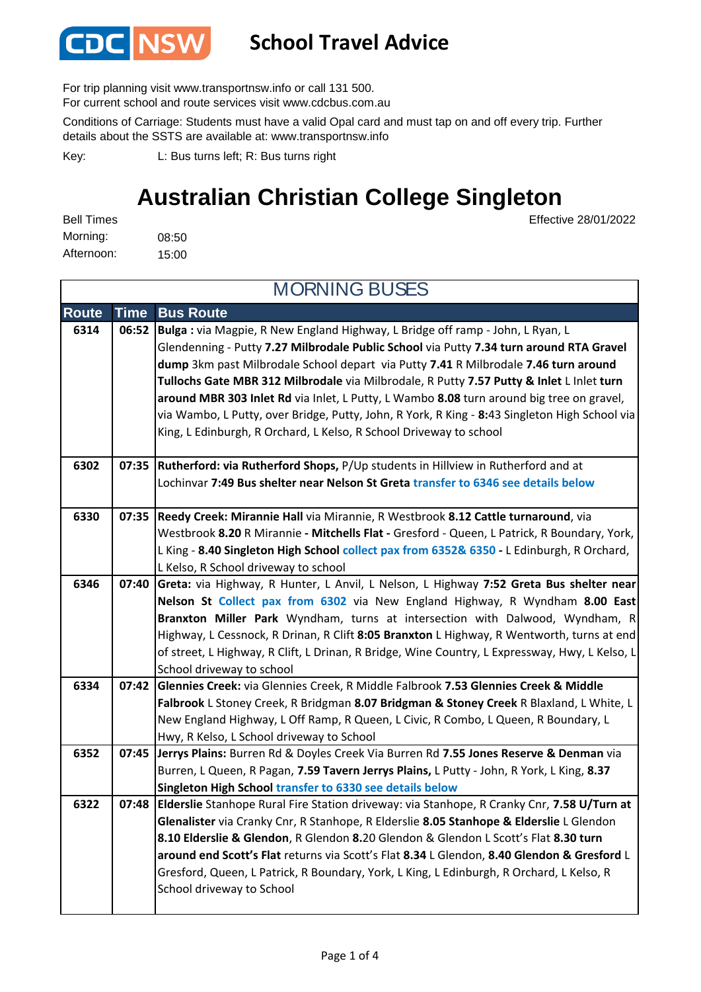

#### **School Travel Advice**

For trip planning visit www.transportnsw.info or call 131 500.

For current school and route services visit www.cdcbus.com.au

Conditions of Carriage: Students must have a valid Opal card and must tap on and off every trip. Further details about the SSTS are available at: www.transportnsw.info

L: Bus turns left; R: Bus turns right Key:

#### **Australian Christian College Singleton**

08:50 15:00 Afternoon: Bell Times Morning:

Effective 28/01/2022

| <b>MORNING BUSES</b> |             |                                                                                                                                                                                      |  |
|----------------------|-------------|--------------------------------------------------------------------------------------------------------------------------------------------------------------------------------------|--|
| <b>Route</b>         | <b>Time</b> | <b>Bus Route</b>                                                                                                                                                                     |  |
| 6314                 | 06:52       | Bulga: via Magpie, R New England Highway, L Bridge off ramp - John, L Ryan, L<br>Glendenning - Putty 7.27 Milbrodale Public School via Putty 7.34 turn around RTA Gravel             |  |
|                      |             | dump 3km past Milbrodale School depart via Putty 7.41 R Milbrodale 7.46 turn around                                                                                                  |  |
|                      |             | Tullochs Gate MBR 312 Milbrodale via Milbrodale, R Putty 7.57 Putty & Inlet L Inlet turn<br>around MBR 303 Inlet Rd via Inlet, L Putty, L Wambo 8.08 turn around big tree on gravel, |  |
|                      |             | via Wambo, L Putty, over Bridge, Putty, John, R York, R King - 8:43 Singleton High School via                                                                                        |  |
|                      |             | King, L Edinburgh, R Orchard, L Kelso, R School Driveway to school                                                                                                                   |  |
| 6302                 |             | 07:35 Rutherford: via Rutherford Shops, P/Up students in Hillview in Rutherford and at                                                                                               |  |
|                      |             | Lochinvar 7:49 Bus shelter near Nelson St Greta transfer to 6346 see details below                                                                                                   |  |
| 6330                 | 07:35       | Reedy Creek: Mirannie Hall via Mirannie, R Westbrook 8.12 Cattle turnaround, via                                                                                                     |  |
|                      |             | Westbrook 8.20 R Mirannie - Mitchells Flat - Gresford - Queen, L Patrick, R Boundary, York,                                                                                          |  |
|                      |             | L King - 8.40 Singleton High School collect pax from 6352& 6350 - L Edinburgh, R Orchard,<br>L Kelso, R School driveway to school                                                    |  |
| 6346                 | 07:40       | Greta: via Highway, R Hunter, L Anvil, L Nelson, L Highway 7:52 Greta Bus shelter near                                                                                               |  |
|                      |             | Nelson St Collect pax from 6302 via New England Highway, R Wyndham 8.00 East                                                                                                         |  |
|                      |             | Branxton Miller Park Wyndham, turns at intersection with Dalwood, Wyndham, R                                                                                                         |  |
|                      |             | Highway, L Cessnock, R Drinan, R Clift 8:05 Branxton L Highway, R Wentworth, turns at end                                                                                            |  |
|                      |             | of street, L Highway, R Clift, L Drinan, R Bridge, Wine Country, L Expressway, Hwy, L Kelso, L                                                                                       |  |
|                      |             | School driveway to school                                                                                                                                                            |  |
| 6334                 | 07:42       | Glennies Creek: via Glennies Creek, R Middle Falbrook 7.53 Glennies Creek & Middle                                                                                                   |  |
|                      |             | Falbrook L Stoney Creek, R Bridgman 8.07 Bridgman & Stoney Creek R Blaxland, L White, L<br>New England Highway, L Off Ramp, R Queen, L Civic, R Combo, L Queen, R Boundary, L        |  |
|                      |             | Hwy, R Kelso, L School driveway to School                                                                                                                                            |  |
| 6352                 | 07:45       | Jerrys Plains: Burren Rd & Doyles Creek Via Burren Rd 7.55 Jones Reserve & Denman via                                                                                                |  |
|                      |             | Burren, L Queen, R Pagan, 7.59 Tavern Jerrys Plains, L Putty - John, R York, L King, 8.37                                                                                            |  |
|                      |             | Singleton High School transfer to 6330 see details below                                                                                                                             |  |
| 6322                 |             | 07:48 Elderslie Stanhope Rural Fire Station driveway: via Stanhope, R Cranky Cnr, 7.58 U/Turn at                                                                                     |  |
|                      |             | Glenalister via Cranky Cnr, R Stanhope, R Elderslie 8.05 Stanhope & Elderslie L Glendon                                                                                              |  |
|                      |             | 8.10 Elderslie & Glendon, R Glendon 8.20 Glendon & Glendon L Scott's Flat 8.30 turn                                                                                                  |  |
|                      |             | around end Scott's Flat returns via Scott's Flat 8.34 L Glendon, 8.40 Glendon & Gresford L                                                                                           |  |
|                      |             | Gresford, Queen, L Patrick, R Boundary, York, L King, L Edinburgh, R Orchard, L Kelso, R                                                                                             |  |
|                      |             | School driveway to School                                                                                                                                                            |  |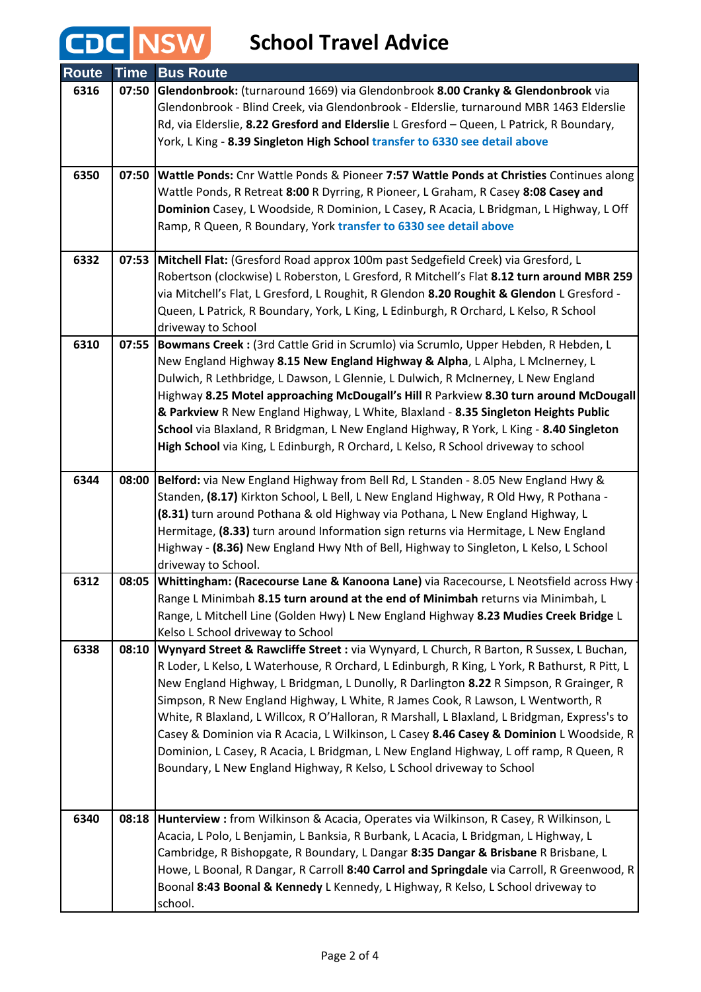### **School Travel Advice**

CDC NSW

| <b>Route</b> | <b>Time</b> | <b>Bus Route</b>                                                                                                                                                                                                                                                                                                                                                                                                                                                                                                                                                                                                                                                                                                                     |
|--------------|-------------|--------------------------------------------------------------------------------------------------------------------------------------------------------------------------------------------------------------------------------------------------------------------------------------------------------------------------------------------------------------------------------------------------------------------------------------------------------------------------------------------------------------------------------------------------------------------------------------------------------------------------------------------------------------------------------------------------------------------------------------|
| 6316         | 07:50       | Glendonbrook: (turnaround 1669) via Glendonbrook 8.00 Cranky & Glendonbrook via<br>Glendonbrook - Blind Creek, via Glendonbrook - Elderslie, turnaround MBR 1463 Elderslie<br>Rd, via Elderslie, 8.22 Gresford and Elderslie L Gresford - Queen, L Patrick, R Boundary,<br>York, L King - 8.39 Singleton High School transfer to 6330 see detail above                                                                                                                                                                                                                                                                                                                                                                               |
| 6350         | 07:50       | Wattle Ponds: Cnr Wattle Ponds & Pioneer 7:57 Wattle Ponds at Christies Continues along<br>Wattle Ponds, R Retreat 8:00 R Dyrring, R Pioneer, L Graham, R Casey 8:08 Casey and<br>Dominion Casey, L Woodside, R Dominion, L Casey, R Acacia, L Bridgman, L Highway, L Off<br>Ramp, R Queen, R Boundary, York transfer to 6330 see detail above                                                                                                                                                                                                                                                                                                                                                                                       |
| 6332         |             | 07:53 Mitchell Flat: (Gresford Road approx 100m past Sedgefield Creek) via Gresford, L<br>Robertson (clockwise) L Roberston, L Gresford, R Mitchell's Flat 8.12 turn around MBR 259<br>via Mitchell's Flat, L Gresford, L Roughit, R Glendon 8.20 Roughit & Glendon L Gresford -<br>Queen, L Patrick, R Boundary, York, L King, L Edinburgh, R Orchard, L Kelso, R School<br>driveway to School                                                                                                                                                                                                                                                                                                                                      |
| 6310         | 07:55       | Bowmans Creek : (3rd Cattle Grid in Scrumlo) via Scrumlo, Upper Hebden, R Hebden, L<br>New England Highway 8.15 New England Highway & Alpha, L Alpha, L McInerney, L<br>Dulwich, R Lethbridge, L Dawson, L Glennie, L Dulwich, R McInerney, L New England<br>Highway 8.25 Motel approaching McDougall's Hill R Parkview 8.30 turn around McDougall<br>& Parkview R New England Highway, L White, Blaxland - 8.35 Singleton Heights Public<br>School via Blaxland, R Bridgman, L New England Highway, R York, L King - 8.40 Singleton<br>High School via King, L Edinburgh, R Orchard, L Kelso, R School driveway to school                                                                                                           |
| 6344         |             | 08:00 Belford: via New England Highway from Bell Rd, L Standen - 8.05 New England Hwy &<br>Standen, (8.17) Kirkton School, L Bell, L New England Highway, R Old Hwy, R Pothana -<br>(8.31) turn around Pothana & old Highway via Pothana, L New England Highway, L<br>Hermitage, (8.33) turn around Information sign returns via Hermitage, L New England<br>Highway - (8.36) New England Hwy Nth of Bell, Highway to Singleton, L Kelso, L School<br>driveway to School.                                                                                                                                                                                                                                                            |
| 6312         | 08:05       | Whittingham: (Racecourse Lane & Kanoona Lane) via Racecourse, L Neotsfield across Hwy<br>Range L Minimbah 8.15 turn around at the end of Minimbah returns via Minimbah, L<br>Range, L Mitchell Line (Golden Hwy) L New England Highway 8.23 Mudies Creek Bridge L<br>Kelso L School driveway to School                                                                                                                                                                                                                                                                                                                                                                                                                               |
| 6338         | 08:10       | Wynyard Street & Rawcliffe Street : via Wynyard, L Church, R Barton, R Sussex, L Buchan,<br>R Loder, L Kelso, L Waterhouse, R Orchard, L Edinburgh, R King, L York, R Bathurst, R Pitt, L<br>New England Highway, L Bridgman, L Dunolly, R Darlington 8.22 R Simpson, R Grainger, R<br>Simpson, R New England Highway, L White, R James Cook, R Lawson, L Wentworth, R<br>White, R Blaxland, L Willcox, R O'Halloran, R Marshall, L Blaxland, L Bridgman, Express's to<br>Casey & Dominion via R Acacia, L Wilkinson, L Casey 8.46 Casey & Dominion L Woodside, R<br>Dominion, L Casey, R Acacia, L Bridgman, L New England Highway, L off ramp, R Queen, R<br>Boundary, L New England Highway, R Kelso, L School driveway to School |
| 6340         |             | 08:18 Hunterview : from Wilkinson & Acacia, Operates via Wilkinson, R Casey, R Wilkinson, L<br>Acacia, L Polo, L Benjamin, L Banksia, R Burbank, L Acacia, L Bridgman, L Highway, L<br>Cambridge, R Bishopgate, R Boundary, L Dangar 8:35 Dangar & Brisbane R Brisbane, L<br>Howe, L Boonal, R Dangar, R Carroll 8:40 Carrol and Springdale via Carroll, R Greenwood, R<br>Boonal 8:43 Boonal & Kennedy L Kennedy, L Highway, R Kelso, L School driveway to<br>school.                                                                                                                                                                                                                                                               |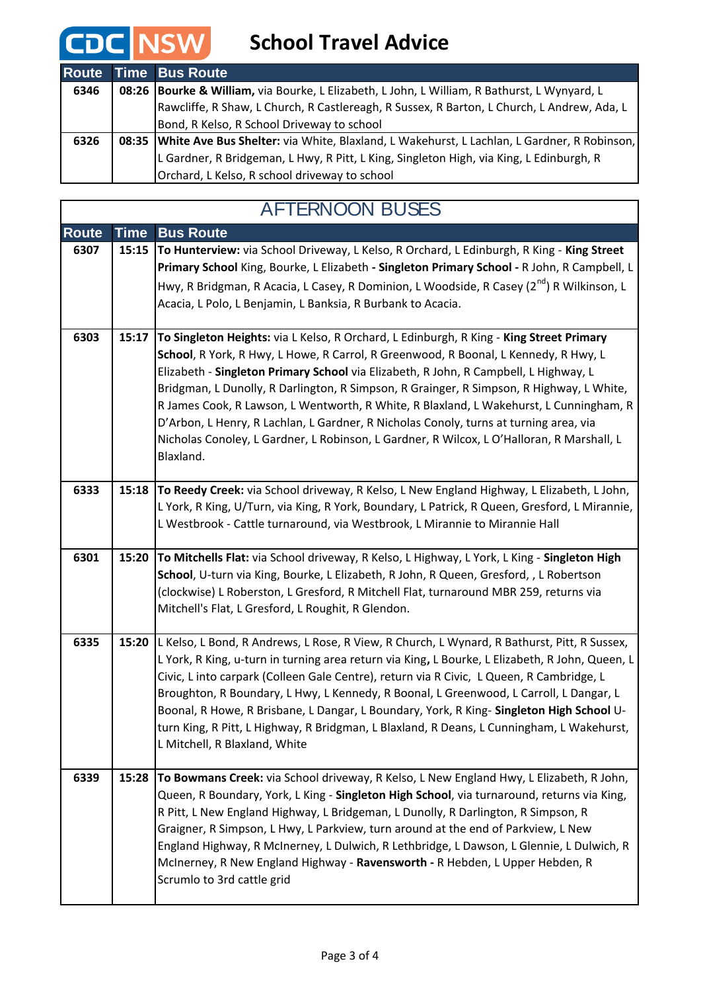# **CDC** NSW School Travel Advice

|      | <b>Route Time Bus Route</b>                                                                        |
|------|----------------------------------------------------------------------------------------------------|
| 6346 | 08:26 Bourke & William, via Bourke, L Elizabeth, L John, L William, R Bathurst, L Wynyard, L       |
|      | Rawcliffe, R Shaw, L Church, R Castlereagh, R Sussex, R Barton, L Church, L Andrew, Ada, L         |
|      | Bond, R Kelso, R School Driveway to school                                                         |
| 6326 | 08:35   White Ave Bus Shelter: via White, Blaxland, L Wakehurst, L Lachlan, L Gardner, R Robinson, |
|      | L Gardner, R Bridgeman, L Hwy, R Pitt, L King, Singleton High, via King, L Edinburgh, R            |
|      | Orchard, L Kelso, R school driveway to school                                                      |

| <b>AFTERNOON BUSES</b> |             |                                                                                                                                                                                                                                                                                                                                                                                                                                                                                                                                                                                                                                                                 |  |  |
|------------------------|-------------|-----------------------------------------------------------------------------------------------------------------------------------------------------------------------------------------------------------------------------------------------------------------------------------------------------------------------------------------------------------------------------------------------------------------------------------------------------------------------------------------------------------------------------------------------------------------------------------------------------------------------------------------------------------------|--|--|
| <b>Route</b>           | <b>Time</b> | <b>Bus Route</b>                                                                                                                                                                                                                                                                                                                                                                                                                                                                                                                                                                                                                                                |  |  |
| 6307                   | 15:15       | To Hunterview: via School Driveway, L Kelso, R Orchard, L Edinburgh, R King - King Street<br>Primary School King, Bourke, L Elizabeth - Singleton Primary School - R John, R Campbell, L<br>Hwy, R Bridgman, R Acacia, L Casey, R Dominion, L Woodside, R Casey (2 <sup>nd</sup> ) R Wilkinson, L<br>Acacia, L Polo, L Benjamin, L Banksia, R Burbank to Acacia.                                                                                                                                                                                                                                                                                                |  |  |
| 6303                   | 15:17       | To Singleton Heights: via L Kelso, R Orchard, L Edinburgh, R King - King Street Primary<br>School, R York, R Hwy, L Howe, R Carrol, R Greenwood, R Boonal, L Kennedy, R Hwy, L<br>Elizabeth - Singleton Primary School via Elizabeth, R John, R Campbell, L Highway, L<br>Bridgman, L Dunolly, R Darlington, R Simpson, R Grainger, R Simpson, R Highway, L White,<br>R James Cook, R Lawson, L Wentworth, R White, R Blaxland, L Wakehurst, L Cunningham, R<br>D'Arbon, L Henry, R Lachlan, L Gardner, R Nicholas Conoly, turns at turning area, via<br>Nicholas Conoley, L Gardner, L Robinson, L Gardner, R Wilcox, L O'Halloran, R Marshall, L<br>Blaxland. |  |  |
| 6333                   | 15:18       | To Reedy Creek: via School driveway, R Kelso, L New England Highway, L Elizabeth, L John,<br>L York, R King, U/Turn, via King, R York, Boundary, L Patrick, R Queen, Gresford, L Mirannie,<br>L Westbrook - Cattle turnaround, via Westbrook, L Mirannie to Mirannie Hall                                                                                                                                                                                                                                                                                                                                                                                       |  |  |
| 6301                   | 15:20       | To Mitchells Flat: via School driveway, R Kelso, L Highway, L York, L King - Singleton High<br>School, U-turn via King, Bourke, L Elizabeth, R John, R Queen, Gresford, , L Robertson<br>(clockwise) L Roberston, L Gresford, R Mitchell Flat, turnaround MBR 259, returns via<br>Mitchell's Flat, L Gresford, L Roughit, R Glendon.                                                                                                                                                                                                                                                                                                                            |  |  |
| 6335                   | 15:20       | L Kelso, L Bond, R Andrews, L Rose, R View, R Church, L Wynard, R Bathurst, Pitt, R Sussex,<br>L York, R King, u-turn in turning area return via King, L Bourke, L Elizabeth, R John, Queen, L<br>Civic, Linto carpark (Colleen Gale Centre), return via R Civic, L Queen, R Cambridge, L<br>Broughton, R Boundary, L Hwy, L Kennedy, R Boonal, L Greenwood, L Carroll, L Dangar, L<br>Boonal, R Howe, R Brisbane, L Dangar, L Boundary, York, R King- Singleton High School U-<br>turn King, R Pitt, L Highway, R Bridgman, L Blaxland, R Deans, L Cunningham, L Wakehurst,<br>L Mitchell, R Blaxland, White                                                   |  |  |
| 6339                   | 15:28       | To Bowmans Creek: via School driveway, R Kelso, L New England Hwy, L Elizabeth, R John,<br>Queen, R Boundary, York, L King - Singleton High School, via turnaround, returns via King,<br>R Pitt, L New England Highway, L Bridgeman, L Dunolly, R Darlington, R Simpson, R<br>Graigner, R Simpson, L Hwy, L Parkview, turn around at the end of Parkview, L New<br>England Highway, R McInerney, L Dulwich, R Lethbridge, L Dawson, L Glennie, L Dulwich, R<br>McInerney, R New England Highway - Ravensworth - R Hebden, L Upper Hebden, R<br>Scrumlo to 3rd cattle grid                                                                                       |  |  |